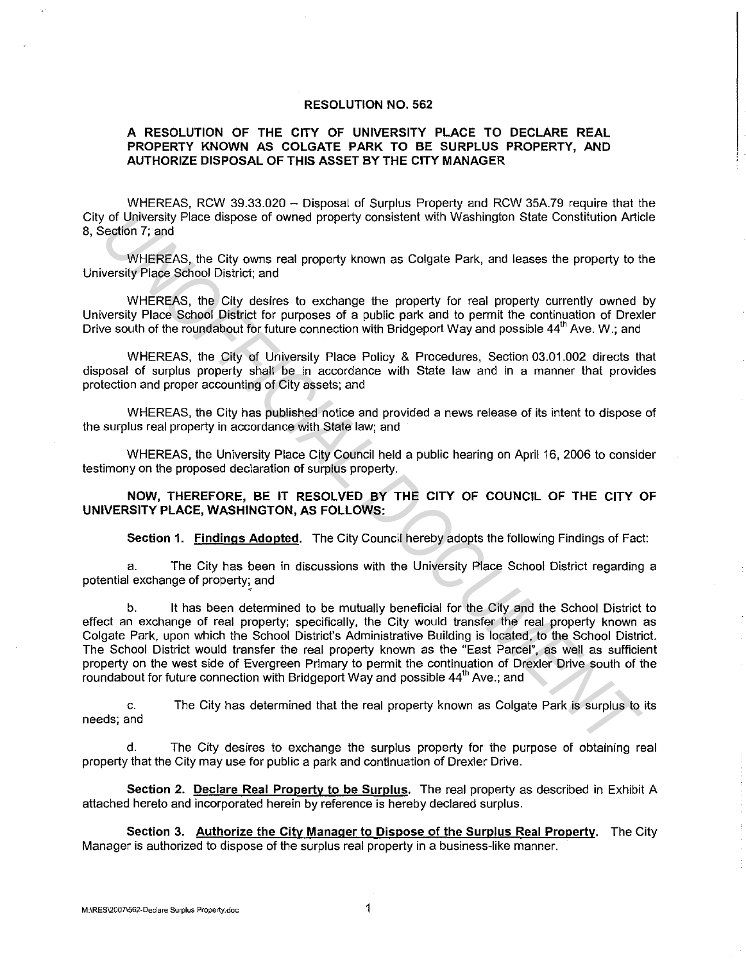## **RESOLUTION NO. 562**

## **A RESOLUTION OF THE CITY OF UNIVERSITY PLACE TO DECLARE REAL PROPERTY KNOWN AS COLGATE PARK TO BE SURPLUS PROPERTY, AND AUTHORIZE DISPOSAL OF THIS ASSET BY THE CITY MANAGER**

WHEREAS, RCW 39.33.020 - Disposal of Surplus Property and RCW 35A.79 require that the City of University Place dispose of owned property consistent with Washington State Constitution Article 8, Section 7; and

WHEREAS, the City owns real property known as Colgate Park, and leases the property to the University Place School District; and

WHEREAS, the City desires to exchange the property for real property currently owned by University Place School District for purposes of a public park and to permit the continuation of Drexler Drive south of the roundabout for future connection with Bridgeport Way and possible 44<sup>th</sup> Ave. W.; and

WHEREAS, the City of University Place Policy & Procedures, Section 03.01.002 directs that disposal of surplus property shall be in accordance with State law and in a manner that provides protection and proper accounting of City assets; and

WHEREAS, the City has published notice and provided a news release of its intent to dispose of the surplus real property in accordance with State law; and

WHEREAS, the University Place City Council held a public hearing on April 16, 2006 to consider testimony on the proposed declaration of surplus property.

**NOW, THEREFORE, BE IT RESOLVED BY THE CITY OF COUNCIL OF THE CITY OF UNIVERSITY PLACE, WASHINGTON, AS FOLLOWS:** 

**Section 1. Findings Adopted.** The City Council hereby adopts the following Findings of Fact:

a. The City has been in discussions with the University Place School District regarding a potential exchange of property; and

b. It has been determined to be mutually beneficial for the City and the School District to effect an exchange of real property; specifically, the City would transfer the real property known as Colgate Park, upon which the School District's Administrative Building is located, to the School District. The School District would transfer the real property known as the "East Parcel", as well as sufficient property on the west side of Evergreen Primary to permit the continuation of Drexler Drive south of the roundabout for future connection with Bridgeport Way and possible 44<sup>th</sup> Ave.; and of University Piace dispose of owned property consistent with Washington State Constitution Articles (White RSA, the City owns real property known as Colgate Park, and lesses the property to the UNIFICE/SA, the City owns r

c. needs; and The City has determined that the real property known as Colgate Park is surplus to its

d. The City desires to exchange the surplus property for the purpose of obtaining real property that the City may use for public a park and continuation of Drexler Drive.

**Section 2. Declare Real Property to be Surplus.** The real property as described in Exhibit A attached hereto and incorporated herein by reference is hereby declared surplus.

**Section 3. Authorize the City Manager to Dispose of the Surplus Real Property.** The City Manager is authorized to dispose of the surplus real property in a business-like manner.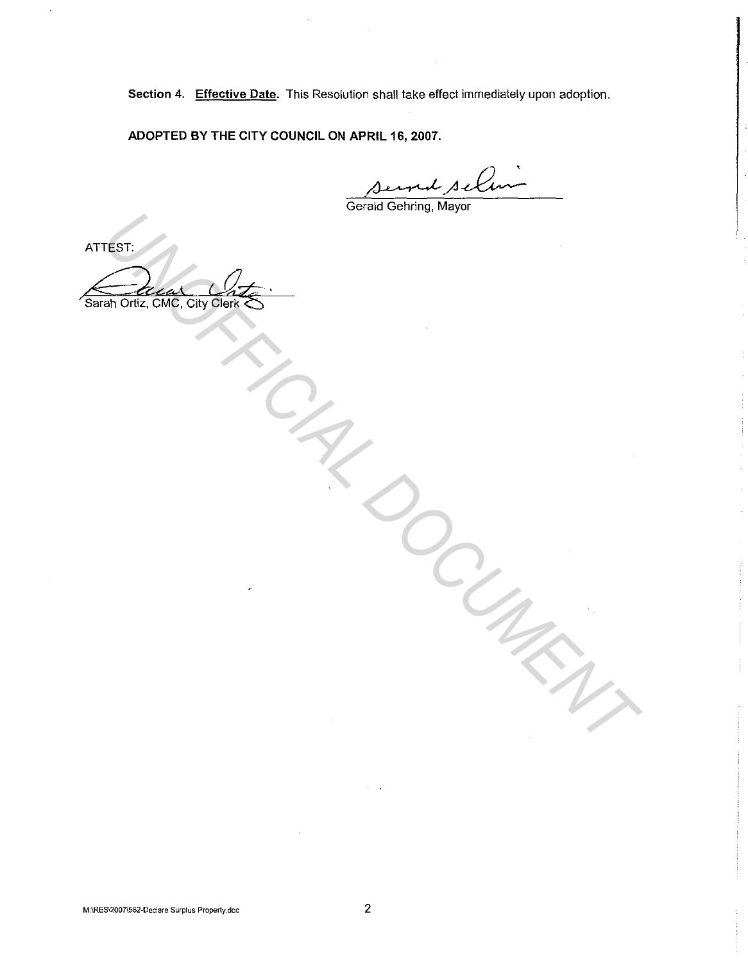Section 4. Effective Date. This Resolution shall take effect immediately upon adoption.

ADOPTED BY THE CITY COUNCIL ON APRIL 16, 2007.

Gerald Gehring, Mayor

ATTEST: Sarah Ortiz, CMG, City Clerk West Controlled Controlled Controlled Controlled Controlled Controlled Controlled Controlled Controlled Controlled Controlled Controlled Controlled Controlled Controlled Controlled Controlled Controlled Controlled Controll